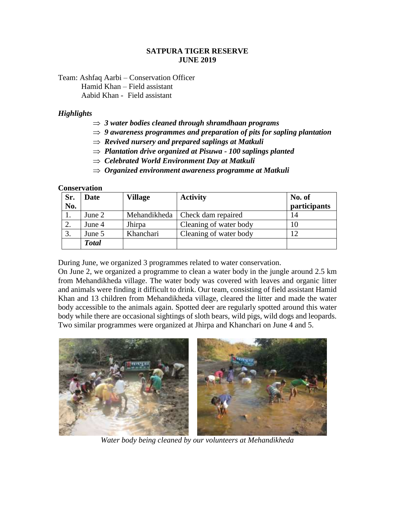### **SATPURA TIGER RESERVE JUNE 2019**

Team: Ashfaq Aarbi – Conservation Officer Hamid Khan – Field assistant Aabid Khan - Field assistant

#### *Highlights*

- *3 water bodies cleaned through shramdhaan programs*
- *9 awareness programmes and preparation of pits for sapling plantation*
- $\Rightarrow$  Revived nursery and prepared saplings at Matkuli
- *Plantation drive organized at Pisuwa - 100 saplings planted*
- *Celebrated World Environment Day at Matkuli*
- *Organized environment awareness programme at Matkuli*

#### **Conservation**

| Sr. | Date         | Village   | <b>Activity</b>                   | No. of       |
|-----|--------------|-----------|-----------------------------------|--------------|
| No. |              |           |                                   | participants |
|     | June 2       |           | Mehandikheda   Check dam repaired | 14           |
|     | June 4       | Jhirpa    | Cleaning of water body            |              |
| 3.  | June 5       | Khanchari | Cleaning of water body            |              |
|     | <b>Total</b> |           |                                   |              |

During June, we organized 3 programmes related to water conservation.

On June 2, we organized a programme to clean a water body in the jungle around 2.5 km from Mehandikheda village. The water body was covered with leaves and organic litter and animals were finding it difficult to drink. Our team, consisting of field assistant Hamid Khan and 13 children from Mehandikheda village, cleared the litter and made the water body accessible to the animals again. Spotted deer are regularly spotted around this water body while there are occasional sightings of sloth bears, wild pigs, wild dogs and leopards. Two similar programmes were organized at Jhirpa and Khanchari on June 4 and 5.



*Water body being cleaned by our volunteers at Mehandikheda*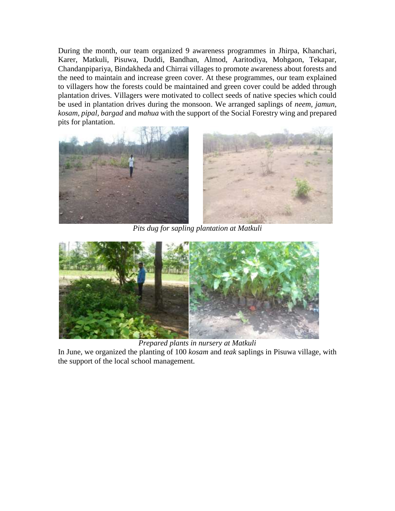During the month, our team organized 9 awareness programmes in Jhirpa, Khanchari, Karer, Matkuli, Pisuwa, Duddi, Bandhan, Almod, Aaritodiya, Mohgaon, Tekapar, Chandanpipariya, Bindakheda and Chirrai villages to promote awareness about forests and the need to maintain and increase green cover. At these programmes, our team explained to villagers how the forests could be maintained and green cover could be added through plantation drives. Villagers were motivated to collect seeds of native species which could be used in plantation drives during the monsoon. We arranged saplings of *neem, jamun, kosam, pipal, bargad* and *mahua* with the support of the Social Forestry wing and prepared pits for plantation.



*Pits dug for sapling plantation at Matkuli*



*Prepared plants in nursery at Matkuli*

In June, we organized the planting of 100 *kosam* and *teak* saplings in Pisuwa village, with the support of the local school management.